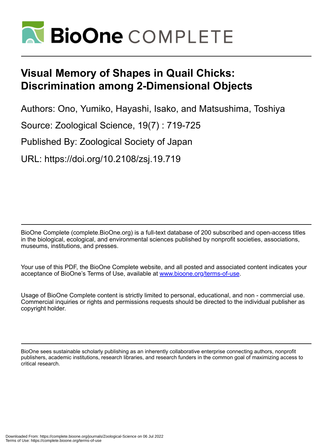

# **Visual Memory of Shapes in Quail Chicks: Discrimination among 2-Dimensional Objects**

Authors: Ono, Yumiko, Hayashi, Isako, and Matsushima, Toshiya

Source: Zoological Science, 19(7) : 719-725

Published By: Zoological Society of Japan

URL: https://doi.org/10.2108/zsj.19.719

BioOne Complete (complete.BioOne.org) is a full-text database of 200 subscribed and open-access titles in the biological, ecological, and environmental sciences published by nonprofit societies, associations, museums, institutions, and presses.

Your use of this PDF, the BioOne Complete website, and all posted and associated content indicates your acceptance of BioOne's Terms of Use, available at www.bioone.org/terms-of-use.

Usage of BioOne Complete content is strictly limited to personal, educational, and non - commercial use. Commercial inquiries or rights and permissions requests should be directed to the individual publisher as copyright holder.

BioOne sees sustainable scholarly publishing as an inherently collaborative enterprise connecting authors, nonprofit publishers, academic institutions, research libraries, and research funders in the common goal of maximizing access to critical research.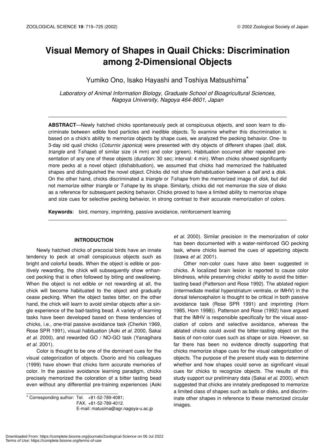# **Visual Memory of Shapes in Quail Chicks: Discrimination among 2-Dimensional Objects**

Yumiko Ono, Isako Hayashi and Toshiya Matsushima\*

*Laboratory of Animal Information Biology, Graduate School of Bioagricultural Sciences, Nagoya University, Nagoya 464-8601, Japan*

**ABSTRACT**—Newly hatched chicks spontaneously peck at conspicuous objects, and soon learn to discriminate between edible food particles and inedible objects. To examine whether this discrimination is based on a chick's ability to memorize objects by shape cues, we analyzed the pecking behavior. One- to 3-day old quail chicks (*Coturnix japonica*) were presented with dry objects of different shapes (*ball, disk, triangle* and *T-shape*) of similar size (4 mm) and color (green). Habituation occurred after repeated presentation of any one of these objects (duration: 30 sec; interval: 4 min). When chicks showed significantly more pecks at a novel object (dishabituation), we assumed that chicks had memorized the habituated shapes and distinguished the novel object. Chicks did not show dishabituation between a *ball* and a *disk*. On the other hand, chicks discriminated a *triangle* or *T-shape* from the memorized image of *disk*, but did not memorize either *triangle* or *T-shape* by its shape. Similarly, chicks did not memorize the size of disks as a reference for subsequent pecking behavior. Chicks proved to have a limited ability to memorize shape and size cues for selective pecking behavior, in strong contrast to their accurate memorization of colors.

**Keywords**: bird, memory, imprinting, passive avoidance, reinforcement learning

#### **INTRODUCTION**

Newly hatched chicks of precocial birds have an innate tendency to peck at small conspicuous objects such as bright and colorful beads. When the object is edible or positively rewarding, the chick will subsequently show enhanced pecking that is often followed by biting and swallowing. When the object is not edible or not rewarding at all, the chick will become habituated to the object and gradually cease pecking. When the object tastes bitter, on the other hand, the chick will learn to avoid similar objects after a single experience of the bad-tasting bead. A variety of learning tasks have been developed based on these tendencies of chicks, i.e., one-trial passive avoidance task (Cherkin 1969, Rose SPR 1991), visual habituation (Aoki *et al*. 2000, Sakai *et al*. 2000), and rewarded GO / NO-GO task (Yanagihara *et al*. 2001).

Color is thought to be one of the dominant cues for the visual categorization of objects. Osorio and his colleagues (1999) have shown that chicks form accurate memories of color. In the passive avoidance learning paradigm, chicks precisely memorized the coloration of a bitter tasting bead even without any differential pre-training experiences (Aoki

 $*$  Corresponding author: Tel.  $+81-52-789-4081$ ; FAX. +81-52-789-4012. E-mail: matusima@agr.nagoya-u.ac.jp

*et al*. 2000). Similar precision in the memorization of color has been documented with a water-reinforced GO pecking task, where chicks learned the cues of appetizing objects (Izawa *et al*. 2001).

Other non-color cues have also been suggested in chicks. A localized brain lesion is reported to cause color blindness, while preserving chicks' ability to avoid the bittertasting bead (Patterson and Rose 1992). The ablated region (intermediate medial hyperstriatum ventrale, or IMHV) in the dorsal telencephalon is thought to be critical in both passive avoidance task (Rose SPR 1991) and imprinting (Horn 1985, Horn 1998)). Patterson and Rose (1992) have argued that the IMHV is responsible specifically for the visual association of colors and selective avoidance, whereas the ablated chicks could avoid the bitter-tasting object on the basis of non-color cues such as shape or size. However, so far there has been no evidence directly supporting that chicks memorize shape cues for the visual categorization of objects. The purpose of the present study was to determine whether and how shapes could serve as significant visual cues for chicks to recognize objects. The results of this study support our preliminary data (Sakai *et al*. 2000), which suggested that chicks are innately predisposed to memorize a limited class of shapes such as balls or disks, and discriminate other shapes in reference to these memorized circular images.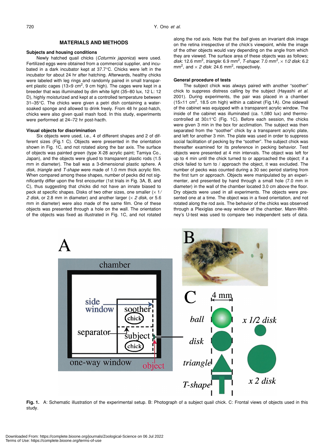#### **MATERIALS AND METHODS**

#### **Subjects and housing conditions**

Newly hatched quail chicks (*Coturmix japonica*) were used. Fertilized eggs were obtained from a commercial supplier, and incubated in a dark incubator kept at 37.7°C. Chicks were left in the incubator for about 24 hr after hatching. Afterwards, healthy chicks were labeled with leg rings and randomly paired in small transparent plastic cages (13×9 cm<sup>2</sup>, 9 cm high). The cages were kept in a breeder that was illuminated by dim white light (35–80 lux, 12 L: 12 D), highly moisturized and kept at a controlled temperature between 31–35°C. The chicks were given a petri dish containing a watersoaked sponge and allowed to drink freely. From 48 hr post-hatch, chicks were also given quail mash food. In this study, experiments were performed at 24–72 hr post-hacth.

#### **Visual objects for discrimination**

Six objects were used, i.e., 4 of different shapes and 2 of different sizes (Fig.1 C). Objects were presented in the orientation shown in Fig. 1C, and not rotated along the bar axis. The surface of objects was painted green (type X-28 acrylic paint; Tamiya Co., Japan), and the objects were glued to transparent plastic rods (1.5 mm in diameter). The ball was a 3-dimensional plastic sphere. A *disk, triangle* and *T-shape* were made of 1.0 mm thick acrylic film. When compared among these shapes, number of pecks did not significantly differ upon the first encounter (1st trials in Fig. 3A, B, and C), thus suggesting that chicks did not have an innate biased to peck at specific shapes. Disks of two other sizes, one smaller  $(x \frac{1}{a})$ *2 disk*, or 2.8 mm in diameter) and another larger (× *2 disk*, or 5.6 mm in diameter) were also made of the same film. One of these objects was presented through a hole on the wall. The orientation of the objects was fixed as illustrated in Fig. 1C, and not rotated

along the rod axis. Note that the *ball* gives an invariant disk image on the retina irrespective of the chick's viewpoint, while the image of the other objects would vary depending on the angle from which they are viewed. The surface area of these objects was as follows; *disk*: 12.6 mm<sup>2</sup> , *triangle*: 6.9 mm<sup>2</sup> , *T-shape*: 7.0 mm<sup>2</sup> , × *1/2 disk*: 6.2 mm<sup>2</sup>, and  $\times$  2 disk: 24.6 mm<sup>2</sup>, respectively.

#### **General procedure of tests**

The subject chick was always paired with another "soother" chick to suppress distress calling by the subject (Hayashi *et al*. 2001). During experiments, the pair was placed in a chamber  $(15\times11 \text{ cm}^2, 18.5 \text{ cm}$  high) within a cabinet (Fig.1A). One sidewall of the cabinet was equipped with a transparent acrylic window. The inside of the cabinet was illuminated (ca. 1,080 lux) and thermocontrolled at 30±1°C (Fig. 1C). Before each session, the chicks were given 3 min in the box for acclimation. The subject was then separated from the "soother" chick by a transparent acrylic plate, and left for another 3 min. The plate was used in order to suppress social facilitation of pecking by the "soother". The subject chick was thereafter examined for its preference in pecking behavior. Test objects were presented at 4 min intervals. The object was left for up to 4 min until the chick turned to or approached the object; if a chick failed to turn to / approach the object, it was excluded. The number of pecks was counted during a 30 sec period starting from the first turn or approach. Objects were manipulated by an experimenter, and presented by hand through a small hole (7.0 mm in diameter) in the wall of the chamber located 3.0 cm above the floor. Dry objects were used in all experiments. The objects were presented one at a time. The object was in a fixed orientation, and not rotated along the rod axis. The behavior of the chicks was observed through a Plexiglas one-way window of the chamber. Mann-Whitney's U-test was used to compare two independent sets of data.



**Fig. 1.** A: Schematic illustration of the experimental setup. B: Photograph of a subject quail chick. C: Frontal views of objects used in this study.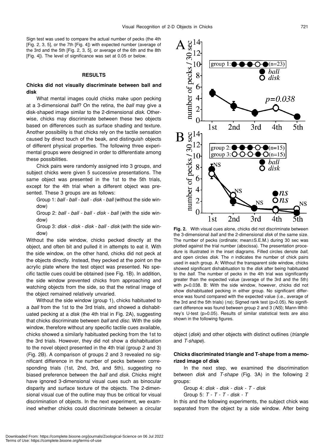Sign test was used to compare the actual number of pecks (the 4th [Fig. 2, 3, 5], or the 7th [Fig. 4]) with expected number (average of the 3rd and the 5th [Fig. 2, 3, 5], or average of the 6th and the 8th [Fig. 4]). The level of significance was set at 0.05 or below.

#### **RESULTS**

# **Chicks did not visually discriminate between ball and disk**

What mental images could chicks make upon pecking at a 3-dimensional *ball*? On the retina, the *ball* may give a disk-shaped image similar to the 2-dimensional *disk*. Otherwise, chicks may discriminate between these two objects based on differences such as surface shading and texture. Another possibility is that chicks rely on the tactile sensation caused by direct touch of the beak, and distinguish objects of different physical properties. The following three experimental groups were designed in order to differentiate among these possibilities.

Chick pairs were randomly assigned into 3 groups, and subject chicks were given 5 successive presentations. The same object was presented in the 1st to the 5th trials, except for the 4th trial when a different object was presented. These 3 groups are as follows:

Group 1: *ball - ball - ball - disk - ball* (without the side window)

Group 2: *ball - ball - ball - disk - ball* (with the side window)

Group 3: *disk - disk - disk - ball - disk* (with the side window)

Without the side window, chicks pecked directly at the object, and often bit and pulled it in attempts to eat it. With the side window, on the other hand, chicks did not peck at the objects directly. Instead, they pecked at the point on the acrylic plate where the test object was presented. No specific tactile cues could be obtained (see Fig. 1B). In addition, the side window prevented chicks from approaching and watching objects from the side, so that the retinal image of the object remained relatively unvaried.

Without the side window (group 1), chicks habituated to a *ball* from the 1st to the 3rd trials, and showed a dishabituated pecking at a *disk* (the 4th trial in Fig. 2A), suggesting that chicks discriminate between *ball* and *disc*. With the side window, therefore without any specific tactile cues available, chicks showed a similarly habituated pecking from the 1st to the 3rd trials. However, they did not show a dishabituation to the novel object presented in the 4th trial (group 2 and 3) (Fig. 2B). A comparison of groups 2 and 3 revealed no significant difference in the number of pecks between corresponding trials (1st, 2nd, 3rd, and 5th), suggesting no biased preference between the *ball* and *disk*. Chicks might have ignored 3-dimensional visual cues such as binocular disparity and surface texture of the objects. The 2-dimensional visual cue of the outline may thus be critical for visual discrimination of objects. In the next experiment, we examined whether chicks could discriminate between a circular



**Fig. 2.** With visual cues alone, chicks did not discriminate between the 3-dimensional *ball* and the 2-dimensional *disk* of the same size. The number of pecks (ordinate; mean±S.E.M.) during 30 sec was plotted against the trial number (abscissa). The presentation procedure is illustrated in the inset diagrams. Filled circles denote *ball*, and open circles *disk*. The *n* indicates the number of chick pairs used in each group. A: Without the transparent side window, chicks showed significant dishabituation to the *disk* after being habituated to the *ball*. The number of pecks in the 4th trial was significantly greater than the expected value (average of the 3rd and the 5th) with *p*=0.038. B: With the side window, however, chicks did not show dishabituated pecking in either group. No significant difference was found compared with the expected value (i.e., average of the 3rd and the 5th trials) (*ns*); Signed rank test (p>0.05). No significant difference was found between group 2 and 3 (*NS*); Mann-Whitney's U-test (p>0.05). Results of similar statistical tests are also shown in the following figures.

object (*disk*) and other objects with distinct outlines (*triangle* and *T-shape*).

# **Chicks discriminated triangle and T-shape from a memorized image of disk**

In the next step, we examined the discrimination between *disk* and *T-shape* (Fig. 3A) in the following 2 groups:

Group 4: *disk - disk - disk - T - disk*

Group 5: *T - T - T - disk - T*

In this and the following experiments, the subject chick was separated from the object by a side window. After being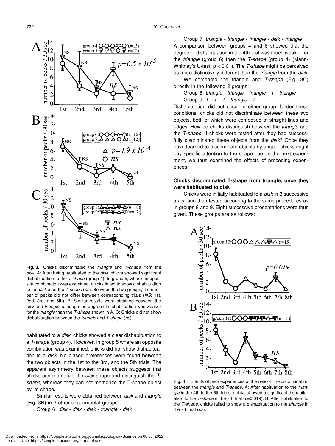

**Fig. 3.** Chicks discriminated the *triangle* and *T-shape* from the *disk*. A: After being habituated to the *disk*, chicks showed significant dishabituation to the *T-shape* (group 4). In group 5, where an opposite combination was examined, chicks failed to show dishabituation to the *disk* after the *T-shape* (*ns*). Between the two groups, the number of pecks did not differ between corresponding trials (*NS*; 1st, 2nd, 3rd, and 5th). B: Similar results were obtained between the *disk* and *triangle*, although the degree of dishabituation was weaker for the *triangle* than the *T-shape* shown in A. C: Chicks did not show dishabituation between the *triangle* and *T-shape* (*ns*).

habituated to a *disk*, chicks showed a clear dishabituation to a *T-shape* (group 4). However, in group 5 where an opposite combination was examined, chicks did not show dishabituation to a *disk*. No biased preferences were found between the two objects in the 1st to the 3rd, and the 5th trials. The apparent asymmetry between these objects suggests that chicks can memorize the *disk* shape and distinguish the *Tshape*, whereas they can not memorize the T-shape object by its shape.

Similar results were obtained between *disk* and *triangle* (Fig. 3B) in 2 other experimental groups:

Group 6: *disk - disk - disk - triangle - disk*

Group 7: *triangle - triangle - triangle - disk - triangle* A comparison between groups 4 and 6 showed that the degree of dishabituation in the 4th trial was much weaker for the *triangle* (group 6) than the *T-shape* (group 4) (Mann-Whitney's U-test: p < 0.01). The *T-shape* might be perceived as more distinctively different than the *triangle* from the *disk*.

We compared the triangle and *T-shape* (Fig. 3C) directly in the following 2 groups:

Group 8: *triangle - triangle - triangle - T - triangle* Group 9: *T - T - T - triangle - T*

Dishabituation did not occur in either group. Under these conditions, chicks did not discriminate between these two objects, both of which were composed of straight lines and edges. How do chicks distinguish between the *triangle* and the *T-shape*, if chicks were tested after they had successfully discriminated these objects from the *disk*? Once they have learned to discriminate objects by shape, chicks might pay specific attention to the shape cue. In the next experiment, we thus examined the effects of preceding experiences.

# **Chicks discriminated T-shape from triangle, once they were habituated to disk**

Chicks were initially habituated to a *disk* in 3 successive trials, and then tested according to the same procedures as in groups 8 and 9. Eight successive presentations were thus given. These groups are as follows:



**Fig. 4.** Effects of prior experiences of the *disk* on the discrimination between the *triangle* and *T-shape*. A: After habituation to the *triangle* in the 4th to the 6th trials, chicks showed a significant dishabituation to the *T-shape* in the 7th trial (*p*=0.019). B: After habituation to the *T-shape*, chicks failed to show a dishabituation to the *triangle* in the 7th trial (*ns*).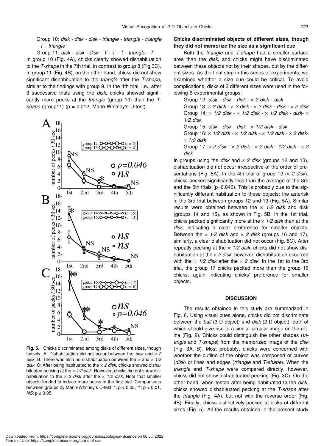*disk*

Group 10: *disk - disk - disk - triangle - triangle - triangle - T - triangle*

Group 11: *disk - disk - disk - T - T - T - triangle - T* In group 10 (Fig. 4A), chicks clearly showed dishabituation to the *T-shape* in the 7th trial, in contrast to group 8 (Fig.3C). In group 11 (Fig. 4B), on the other hand, chicks did not show significant dishabituation to the *triangle* after the *T-shape*, similar to the findings with group 9. In the 4th trial, i.e., after 3 successive trials using the *disk*, chicks showed significantly more pecks at the *triangle* (group 10) than the *Tshape* (group11) (p = 0.012; Mann-Whitney's U-test).



**Fig. 5.** Chicks discriminated among disks of different sizes, though loosely. A: Dishabituation did not occur between the *disk* and  $\times$  2 *disk*. B: There was also no dishabituation between the × and × *1/2 disk*. C: After being habituated to the × *2 disk*, chicks showed dishabituated pecking at the × *1/2 disk*. However, chicks did not show dishabituation to the  $\times$  *2 disk* after the  $\times$  1/2 disk. Note that smaller objects tended to induce more pecks in the first trial. Comparisons between groups by Mann-Whitney's U-test; \*: p < 0.05, \*\*: p < 0.01, *NS*: *p* ≥ 0.05.

# **Chicks discriminated objects of different sizes, though they did not memorize the size as a significant cue**

Both the *triangle* and *T-shape* had a smaller surface area than the *disk*, and chicks might have discriminated between these objects not by their shapes, but by the different sizes. As the final step in this series of experiments, we examined whether a size cue could be critical. To avoid complications, disks of 3 different sizes were used in the following 6 experimental groups:

Group 12: *disk - disk - disk -* × *2 disk - disk* Group 13: × *2 disk -* × *2 disk -* × *2 disk - disk -* × *2 disk* Group 14: × *1/2 disk -* × *1/2 disk -* × *1/2 disk - disk-* × *1/2 disk* Group 15: *disk - disk - disk -* × *1/2 disk - disk* Group 16: × *1/2 disk -* × *1/2 disk -* × *1/2 disk -* × *2 disk-* × *1/2 disk* Group 17: × *2 disk -* × *2 disk -* × *2 disk - 1/2 disk -* × *2*

In groups using the *disk* and  $\times$  2 *disk* (groups 12 and 13), dishabituation did not occur irrespective of the order of presentations (Fig. 5A). In the 4th trial of group 12 (× *2 disk*), chicks pecked significantly less than the average of the 3rd and the 5th trials (p=0.046). This is probably due to the significantly different habituation to these objects: the asterisk in the 3rd trial between groups 12 and 13 (Fig. 5A). Similar results were obtained between the × *1/2 disk* and disk (groups 14 and 15), as shown in Fig. 5B. In the 1st trial, chicks pecked significantly more at the × *1/2 disk* than at the *disk*, indicating a clear preference for smaller objects. Between the  $\times$  1/2 disk and  $\times$  2 disk (groups 16 and 17), similarly, a clear dishabituation did not occur (Fig. 5C). After repeatly pecking at the  $\times$  1/2 disk, chicks did not show dishabituation at the  $\times$  2 disk; however, dishabituation occurred with the  $\times$  1/2 disk after the  $\times$  2 disk. In the 1st to the 3rd trial, the group 17 chicks pecked more than the group 16 chicks, again indicating chicks' preference for smaller objects.

#### **DISCUSSION**

The results obtained in this study are summarized in Fig. 6. Using visual cues alone, chicks did not discriminate between the *ball* (3-D object) and *disk* (2-D object), both of which should give rise to a similar circular image on the retina (Fig. 2). Chicks could distinguish the other shapes (*triangle* and *T-shape*) from the memorized image of the *disk* (Fig. 3A, B). Most probably, chicks were concerned with whether the outline of the object was composed of curves (*disk*) or lines and edges (*triangle* and *T-shape*). When the *triangle* and *T-shape* were compared directly, however, chicks did not show dishabituated pecking (Fig. 3C). On the other hand, when tested after being habituated to the *disk*, chicks showed dishabituated pecking at the *T-shape* after the *triangle* (Fig. 4A), but not with the reverse order (Fig. 4B). Finally, chicks distinctively pecked at disks of different sizes (Fig. 5). All the results obtained in the present study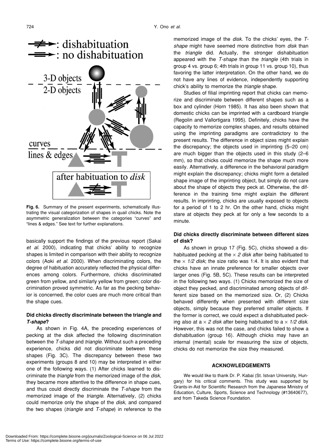



**Fig. 6.** Summary of the present experiments, schematically illustrating the visual categorization of shapes in quail chicks. Note the asymmetric generalization between the categories "curves" and "lines & edges." See text for further explanations.

basically support the findings of the previous report (Sakai *et al*. 2000), indicating that chicks' ability to recognize shapes is limited in comparison with their ability to recognize colors (Aoki *et al*. 2000). When discriminating colors, the degree of habituation accurately reflected the physical differences among colors. Furthermore, chicks discriminated green from yellow, and similarly yellow from green; color discrimination proved symmetric. As far as the pecking behavior is concerned, the color cues are much more critical than the shape cues.

# **Did chicks directly discriminate between the triangle and** *T-shape***?**

As shown in Fig. 4A, the preceding experiences of pecking at the disk affected the following discrimination between the *T-shape* and *triangle*. Without such a preceding experience, chicks did not discriminate between these shapes (Fig. 3C). The discrepancy between these two experiments (groups 8 and 10) may be interpreted in either one of the following ways. (1) After chicks learned to discriminate the *triangle* from the memorized image of the *disk*, they became more attentive to the difference in shape cues, and thus could directly discriminate the *T-shape* from the memorized image of the *triangle*. Alternatively, (2) chicks could memorize only the shape of the *disk*, and compared the two shapes (*triangle* and *T-shape*) in reference to the

memorized image of the *disk*. To the chicks' eyes, the *Tshape* might have seemed more distinctive from *disk* than the *triangle* did. Actually, the stronger dishabituation appeared with the *T-shape* than the *triangle* (4th trials in group 4 vs. group 6; 4th trials in group 11 vs. group 10), thus favoring the latter interpretation. On the other hand, we do not have any lines of evidence, independently supporting chick's ability to memorize the *triangle* shape.

Studies of filial imprinting report that chicks can memorize and discriminate between different shapes such as a box and cylinder (Horn 1985). It has also been shown that domestic chicks can be imprinted with a cardboard triangle (Regolin and Vallortigara 1995). Definitely, chicks have the capacity to memorize complex shapes, and results obtained using the imprinting paradigms are contradictory to the present results. The difference in object sizes might explain the discrepancy; the objects used in imprinting (5–20 cm) are much bigger than the objects used in this study (2–6 mm), so that chicks could memorize the shape much more easily. Alternatively, a difference in the behavioral paradigm might explain the discrepancy; chicks might form a detailed shape image of the imprinting object, but simply do not care about the shape of objects they peck at. Otherwise, the difference in the training time might explain the different results. In imprinting, chicks are usually exposed to objects for a period of 1 to 2 hr. On the other hand, chicks might stare at objects they peck at for only a few seconds to a minute.

#### **Did chicks directly discriminate between different sizes of disk?**

As shown in group 17 (Fig. 5C), chicks showed a dishabituated pecking at the × *2 disk* after being habituated to the  $\times$  1/2 disk; the size ratio was 1:4. It is also evident that chicks have an innate preference for smaller objects over larger ones (Fig. 5B, 5C). These results can be interpreted in the following two ways. (1) Chicks memorized the size of object they pecked, and discriminated among objects of different size based on the memorized size. Or, (2) Chicks behaved differently when presented with different size objects, simply because they preferred smaller objects. If the former is correct, we could expect a dishabituated pecking also at  $a \times 2$  *disk* after being habituated to  $a \times 1/2$  *disk.* However, this was not the case, and chicks failed to show a dishabituation (group 16). Although chicks may have an internal (mental) scale for measuring the size of objects, chicks do not memorize the size they measured.

#### **ACKNOWLEDGEMENTS**

We would like to thank Dr. P. Kabai (St. Istvan University, Hungary) for his critical comments. This study was supported by Grants-in-Aid for Scientific Research from the Japanese Ministry of Education, Culture, Sports, Science and Technology (#13640677), and from Takeda Science Foundation.